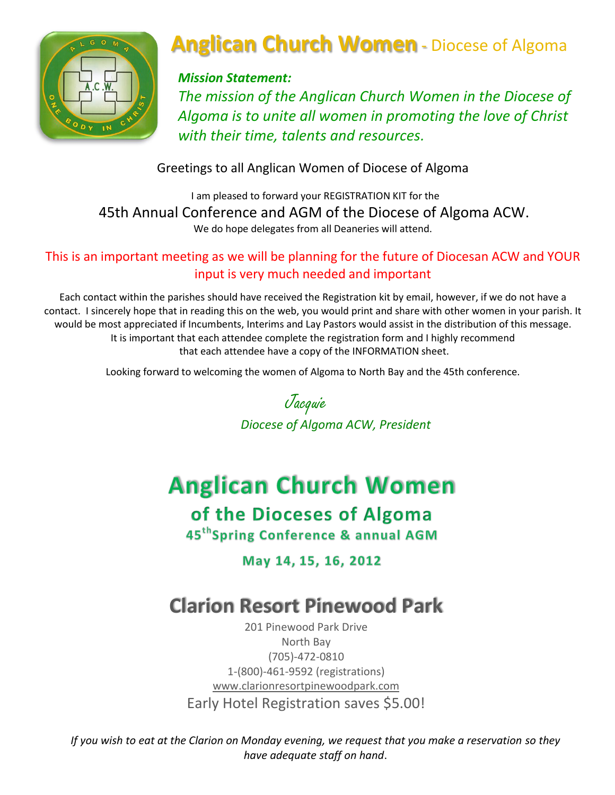

# **Anglican Church Women** - Diocese of Algoma

### *Mission Statement:*

*The mission of the Anglican Church Women in the Diocese of Algoma is to unite all women in promoting the love of Christ with their time, talents and resources.*

Greetings to all Anglican Women of Diocese of Algoma

I am pleased to forward your REGISTRATION KIT for the 45th Annual Conference and AGM of the Diocese of Algoma ACW. We do hope delegates from all Deaneries will attend.

### This is an important meeting as we will be planning for the future of Diocesan ACW and YOUR input is very much needed and important

Each contact within the parishes should have received the Registration kit by email, however, if we do not have a contact. I sincerely hope that in reading this on the web, you would print and share with other women in your parish. It would be most appreciated if Incumbents, Interims and Lay Pastors would assist in the distribution of this message. It is important that each attendee complete the registration form and I highly recommend that each attendee have a copy of the INFORMATION sheet.

Looking forward to welcoming the women of Algoma to North Bay and the 45th conference.

 Jacquie *Diocese of Algoma ACW, President*

# **Anglican Church Women**

of the Dioceses of Algoma

45<sup>th</sup>Spring Conference & annual AGM

May 14, 15, 16, 2012

# **Clarion Resort Pinewood Park**

201 Pinewood Park Drive North Bay (705)-472-0810 1-(800)-461-9592 (registrations) [www.clarionresortpinewoodpark.com](http://www.clarionresortpinewoodpark.com/) Early Hotel Registration saves \$5.00!

*If you wish to eat at the Clarion on Monday evening, we request that you make a reservation so they have adequate staff on hand*.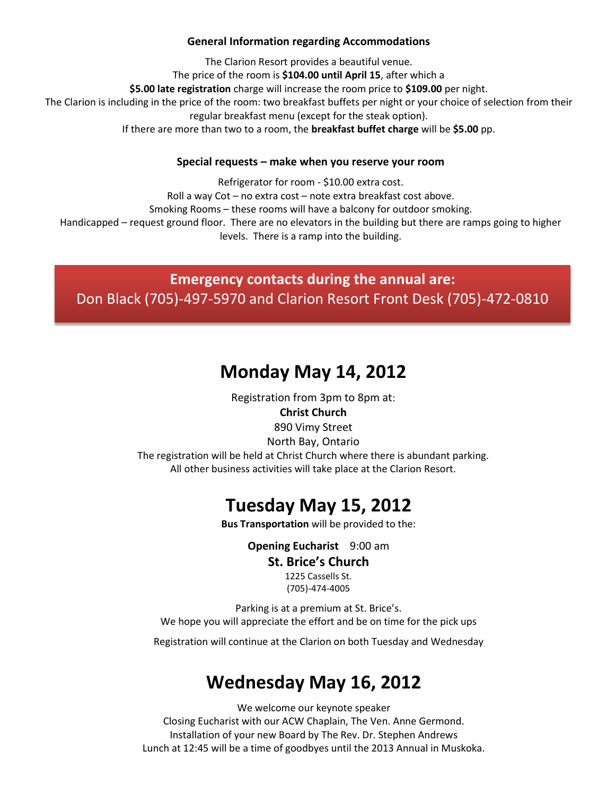#### **General Information regarding Accommodations**

The Clarion Resort provides a beautiful venue. The price of the room is **\$104.00 until April 15**, after which a **\$5.00 late registration** charge will increase the room price to **\$109.00** per night. The Clarion is including in the price of the room: two breakfast buffets per night or your choice of selection from their regular breakfast menu (except for the steak option). If there are more than two to a room, the **breakfast buffet charge** will be **\$5.00** pp.

#### **Special requests – make when you reserve your room**

Refrigerator for room - \$10.00 extra cost. Roll a way Cot – no extra cost – note extra breakfast cost above. Smoking Rooms – these rooms will have a balcony for outdoor smoking. Handicapped – request ground floor. There are no elevators in the building but there are ramps going to higher levels. There is a ramp into the building.

**Emergency contacts during the annual are:** Don Black (705)-497-5970 and Clarion Resort Front Desk (705)-472-0810

### **Monday May 14, 2012**

Registration from 3pm to 8pm at: **Christ Church** 890 Vimy Street North Bay, Ontario The registration will be held at Christ Church where there is abundant parking. All other business activities will take place at the Clarion Resort.

### **Tuesday May 15, 2012**

**Bus Transportation** will be provided to the:

**Opening Eucharist** 9:00 am

#### **St. Brice's Church**

1225 Cassells St. (705)-474-4005

Parking is at a premium at St. Brice's. We hope you will appreciate the effort and be on time for the pick ups

Registration will continue at the Clarion on both Tuesday and Wednesday

### **Wednesday May 16, 2012**

We welcome our keynote speaker Closing Eucharist with our ACW Chaplain, The Ven. Anne Germond. Installation of your new Board by The Rev. Dr. Stephen Andrews Lunch at 12:45 will be a time of goodbyes until the 2013 Annual in Muskoka.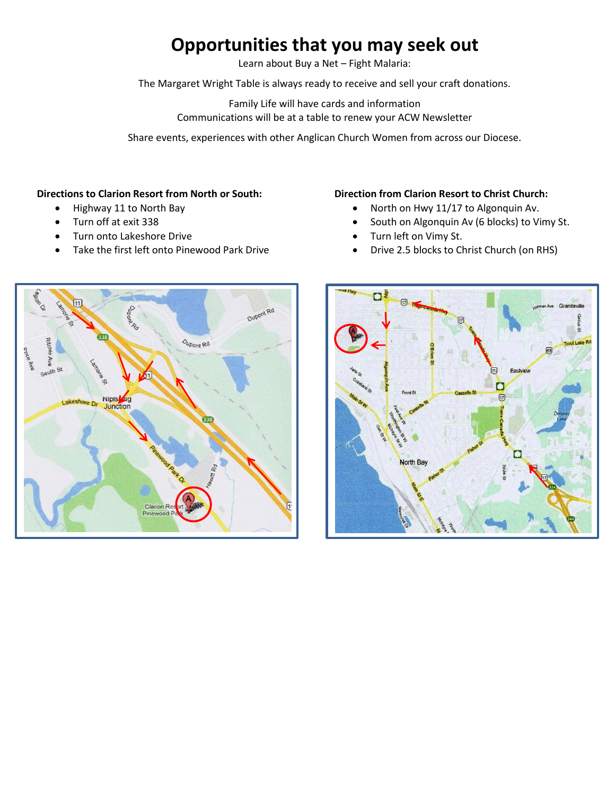### **Opportunities that you may seek out**

Learn about Buy a Net – Fight Malaria:

The Margaret Wright Table is always ready to receive and sell your craft donations.

Family Life will have cards and information Communications will be at a table to renew your ACW Newsletter

Share events, experiences with other Anglican Church Women from across our Diocese.

#### **Directions to Clarion Resort from North or South:**

- Highway 11 to North Bay
- Turn off at exit 338
- Turn onto Lakeshore Drive
- Take the first left onto Pinewood Park Drive

#### **Direction from Clarion Resort to Christ Church:**

- North on Hwy 11/17 to Algonquin Av.
- South on Algonquin Av (6 blocks) to Vimy St.
- Turn left on Vimy St.
- Drive 2.5 blocks to Christ Church (on RHS)



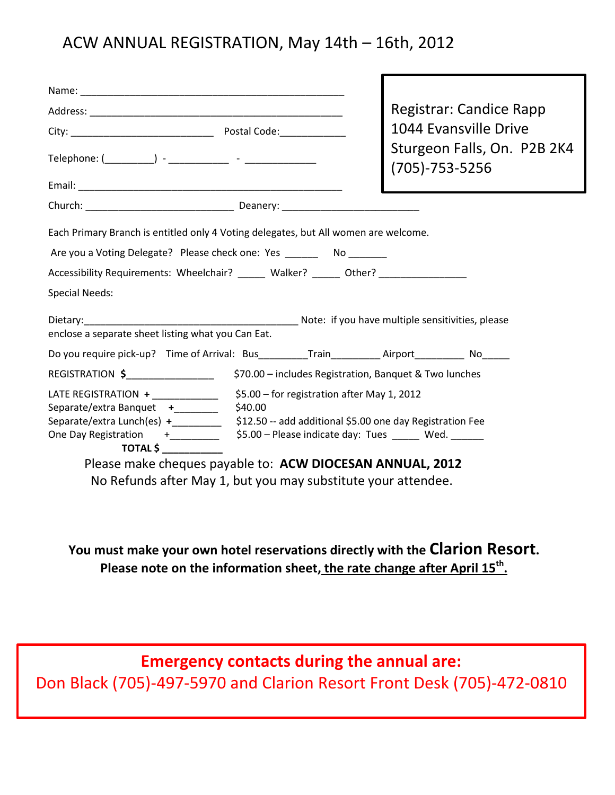### ACW ANNUAL REGISTRATION, May 14th – 16th, 2012

|                                                                                                |                                                                                                                                                                                                                                                        | <b>Registrar: Candice Rapp</b>                         |  |
|------------------------------------------------------------------------------------------------|--------------------------------------------------------------------------------------------------------------------------------------------------------------------------------------------------------------------------------------------------------|--------------------------------------------------------|--|
|                                                                                                |                                                                                                                                                                                                                                                        | 1044 Evansville Drive                                  |  |
|                                                                                                |                                                                                                                                                                                                                                                        | Sturgeon Falls, On. P2B 2K4<br>$(705) - 753 - 5256$    |  |
|                                                                                                |                                                                                                                                                                                                                                                        |                                                        |  |
|                                                                                                |                                                                                                                                                                                                                                                        |                                                        |  |
| Each Primary Branch is entitled only 4 Voting delegates, but All women are welcome.            |                                                                                                                                                                                                                                                        |                                                        |  |
| Are you a Voting Delegate? Please check one: Yes _________ No ________                         |                                                                                                                                                                                                                                                        |                                                        |  |
| Accessibility Requirements: Wheelchair? _____ Walker? _____ Other? _____________               |                                                                                                                                                                                                                                                        |                                                        |  |
| <b>Special Needs:</b>                                                                          |                                                                                                                                                                                                                                                        |                                                        |  |
|                                                                                                |                                                                                                                                                                                                                                                        |                                                        |  |
| enclose a separate sheet listing what you Can Eat.                                             |                                                                                                                                                                                                                                                        |                                                        |  |
| Do you require pick-up? Time of Arrival: Bus_________Train__________Airport___________ No_____ |                                                                                                                                                                                                                                                        |                                                        |  |
| REGISTRATION \$_________________                                                               |                                                                                                                                                                                                                                                        | \$70.00 - includes Registration, Banquet & Two lunches |  |
| LATE REGISTRATION +<br>Separate/extra Banquet +_______                                         | \$5.00 - for registration after May 1, 2012<br>\$40.00<br>Separate/extra Lunch(es) $+$ $ \frac{1}{2}$ \$12.50 -- add additional \$5.00 one day Registration Fee<br>One Day Registration +_________ \$5.00 - Please indicate day: Tues _____ Wed. _____ |                                                        |  |
| $\overline{ \text{DTAL}}$ $\hat{\mathsf{S}}$                                                   |                                                                                                                                                                                                                                                        |                                                        |  |
|                                                                                                | Please make cheques payable to: ACW DIOCESAN ANNUAL, 2012                                                                                                                                                                                              |                                                        |  |
|                                                                                                | No Refunds after May 1, but you may substitute your attendee.                                                                                                                                                                                          |                                                        |  |

**You must make your own hotel reservations directly with the Clarion Resort. Please note on the information sheet, the rate change after April 15th .**

**Emergency contacts during the annual are:** Don Black (705)-497-5970 and Clarion Resort Front Desk (705)-472-0810